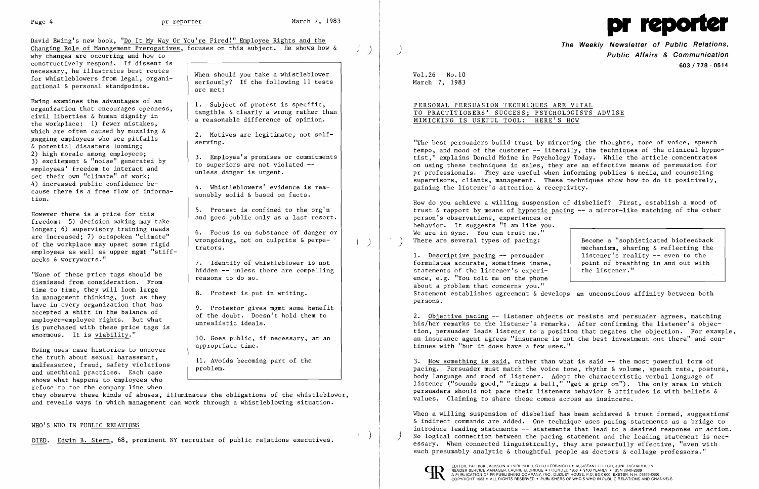David Ewing's new book, "Do It My Way Or You're Fired!" Employee Rights and the Changing Role of Management Prerogatives, focuses on this subject. He shows how & why changes are occurring and how to

constructively respond. If dissent is<br>necessary, he illustrates best routes

Ewing examines the advantages of an<br>
organization that encourages openness,<br>
civil liberties & human dignity in<br>
the workplace: 1) fewer mistakes,<br>
a reasonable difference of opinion. civil liberties  $\alpha$  numan dignity in<br>the workplace: 1) fewer mistakes,<br>which are often caused by muzzling  $\delta$ which are often caused by muzzling  $\alpha$ <br>
& potential disasters looming;<br>
2) high morale among employees; 2) high morale among employees;<br>3) excitement & "noise" generated by<br>employees' freedom to interact and<br>set their own "climate" of work;<br>2) excitements are not violated --<br>unless danger is urgent. 4) increased public confidence be-<br>cause there is a free flow of informa-<br>sonably solid & based on facts. cause there is a free flow of informa-<br>tion.

longer; 6) supervisory training needs 6. Focus is on substance of danger or are increased; 7) outspoken "climate" wrongdoing, not on culprits & perpe-<br>of the workplace may upset some rigid trators.<br>mecks & worrvwarts."

dismissed from consideration. From time to time, they will loom large 18. Protest is put in writing.<br>in management thinking, just as they 18. Protest is put in writing.<br>have in every organization that has have in every organization that has<br>accepted a shift in the balance of employer-employee rights. But what<br>is purchased with these price tags is and the unrealistic ideals. is purchased with these price tags is<br>enormous. It is <u>viability</u>."<br>10. Goes public, if necessary, at an

Ewing uses case histories to uncover appropriate time.<br>the truth about sexual harassment, the truth about sexual harassment, 11. Avoids becoming part of the malfeasance, fraud, safety violations and unethical practices. Each case shows what happens to employees who refuse to toe the company line when

necessary, he illustrates best routes<br>for whistleblowers from legal, organi-<br>zational & personal standpoints.<br>are met:

However there is a price for this  $\begin{array}{|l|l|} 5. & \text{Protest is confined to the org'n} \\ \text{freedom:} & 5) \text{ decision making may take} \end{array}$  and goes public only as a last resort.

7. Identity of whistleblower is not "None of these price tags should be  $\left\{\begin{array}{c} \text{hidden} \text{ -- unless there are compelling} \\ \text{reasons to do so.} \end{array}\right.$ 

How do you achieve a willing suspension of disbelief? First, establish a mood of trust & rapport by means of hypnotic pacing -- a mirror-like matching of the other person's observations, experiences or behavior. It suggests "I am like you. We are in sync. You can trust me."<br>There are several types of pacing: Become a "sophisticated biofeedback

1. Descriptive pacing  $-$  persuader and interer's reality  $-$  even to the formulates accurate, sometimes inane, formulates accurate, sometimes inane, point of breathing in and out with statements of the listener." statements of the listener's experience, e.g. "You told me on the phone about a problem that concerns you." Statement establishes agreement & develops an unconscious affinity between both persons.

they observe these kinds of abuses, illuminates the obligations of the whistleblower, and reveals ways in which management can work through a whistleblowing situation.



**The Weekly Newsletter of Public Relations,** ) **Public Affairs & Communication 603/778 - 0514** 

Vol.26 No.10 March 7, 1983

When a willing suspension of disbelief has been achieved & trust formed, suggestions & indirect commands are added. One technique uses pacing statements as a bridge to introduce leading statements -- statements that lead to a desired response or action. No logical connection between the pacing statement and the leading statement is necessary. When connected linguistically, they are powerfully effective, "even with such presumably analytic & thoughtful people as doctors & college professors."

 $\left( \begin{array}{cc} \end{array} \right)$ 

 $\mathcal{A}^{\mathrm{c}}$  .

## PERSONAL PERSUASION TECHNIQUES ARE VITAL TO PRACTITIONERS' SUCCESS; PSYCHOLOGISTS ADVISE MIMICKING IS USEFUL TOOL: HERE'S HOW

EDITOR, PATRICK JACKSON ● PUBLISHER, OTTO LERBINGER ● ASSISTANT EDITOR, JUNE RICHARDSON<br>READER SERVICE MANAGER, LAURIE ELDRIDGE ● FOUNDED 1958 ● \$100 YEARLY ● ISSN 0048-2609 READER SERVICE MANAGER SERVICE MANAGER SERVICE MANAGER, P.O. BOX 600, EXETER, N.H. 03833-0600 COPYRIGHT 1983 • ALL RIGHTS RESERVED. PUBLISHERS OF WHO'S WHO IN PUBLIC RELATIONS AND CHANNELS

"The best persuaders build trust by mirroring the thoughts, tone of voice, speech tempo, and mood of the customer -- literally, the techniques of the clinical hypnotist," explains Donald Moine in Psychology Today. While the article concentrates on using these techniques in sales, they are an effective means of persuasion for pr professionals. They are useful when informing publics & media, and counseling supervisors, clients, management. These techniques show how to do it positively, gaining the listener's attention & receptivity.

mechanism, sharing & reflecting the

2. Objective pacing -- listener objects or resists and persuader agrees, matching his/her remarks to the listener's remarks. After confirming the listener's objection, persuader leads listener to a position that negates the objection. For example, an insurance agent agrees "insurance is not the best investment out there" and continues with "but it does have a few uses."

3. How something is said, rather than what is said -- the most powerful form of pacing. Persuader must match the voice tone, rhythm & volume, speech rate, posture, body language and mood of listener. Adopt the characteristic verbal language of listener ("sounds good," "rings a bell," "get a grip on"). The only area in which persuaders should not pace their listeners behavior & attitudes is with beliefs & values. Claiming to share these comes across as insincere.

### WHO'S WHO IN PUBLIC RELATIONS

DIED. Edwin B. Stern, 68, prominent NY recruiter of public relations executives. )